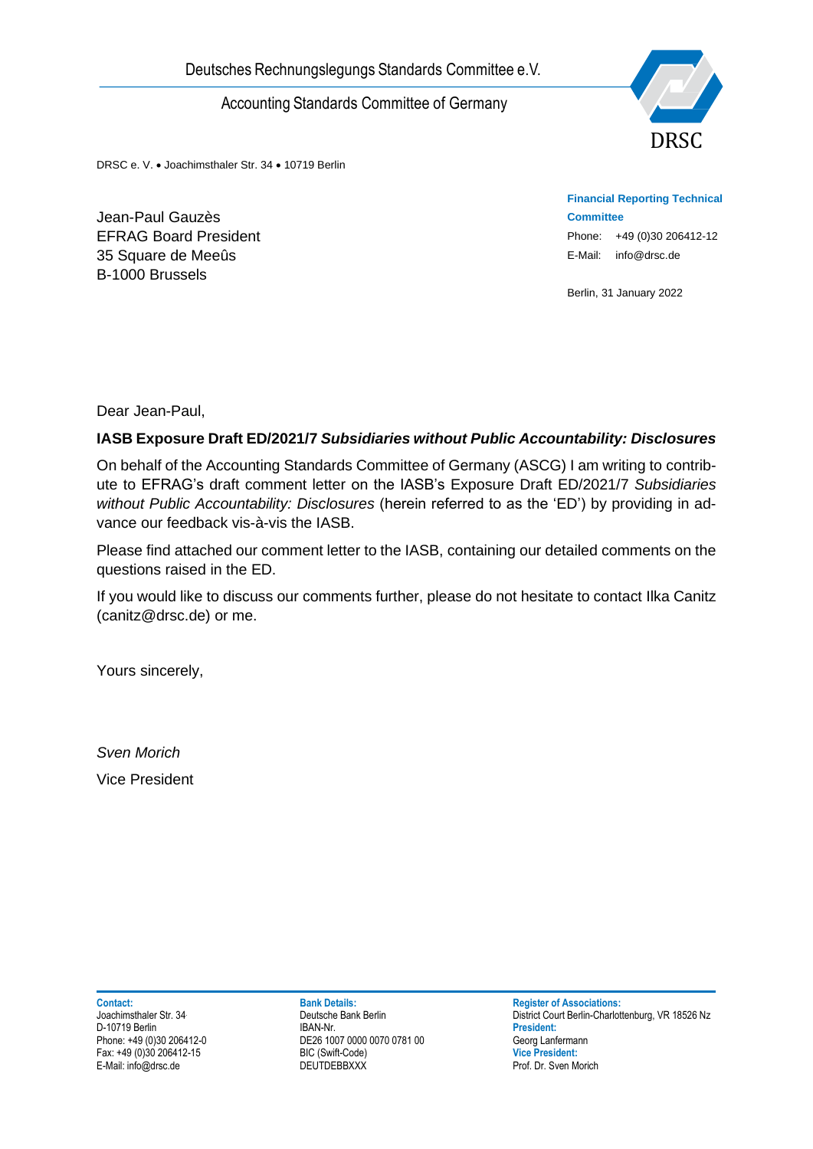

DRSC e. V. • Joachimsthaler Str. 34 • 10719 Berlin

Jean-Paul Gauzès EFRAG Board President 35 Square de Meeûs B-1000 Brussels

**Financial Reporting Technical Committee** Phone: +49 (0)30 206412-12 E-Mail: info@drsc.de

Berlin, 31 January 2022

Dear Jean-Paul,

### **IASB Exposure Draft ED/2021/7** *Subsidiaries without Public Accountability: Disclosures*

Deutsches Rechnungslegungs Standards Committee e.V.<br>
Accounting Standards Committee of Germany<br>
Deac e.v. + Joachimeters<br>
E-FRAG Board President<br>
E-Max Board President<br>
Board Densites<br>
Board Densites<br>
Dear Jean-Paul,<br>
NASB On behalf of the Accounting Standards Committee of Germany (ASCG) I am writing to contribute to EFRAG's draft comment letter on the IASB's Exposure Draft ED/2021/7 *Subsidiaries without Public Accountability: Disclosures* (herein referred to as the 'ED') by providing in advance our feedback vis-à-vis the IASB.

Please find attached our comment letter to the IASB, containing our detailed comments on the questions raised in the ED.

If you would like to discuss our comments further, please do not hesitate to contact Ilka Canitz (canitz@drsc.de) or me.

Yours sincerely,

*Sven Morich* Vice President

D-10719 Berlin<br>Phone: +49 (0)30 206412-0

Phone: +49 (1007 0000 0070 0781 00 Georg Lanfermann<br>Phone: +49 (Swift-Code) by Cice President: Fax: +49 (0)30 206412-15 BIC (Swift-Code) **Vice President:**

**Contact: Bank Details: Bank Details: Register of Associations: Proportional Bank Details: Register of Associations: Proportions: Proportions: Proportions: Proportions: Proportions: Proportional Detai** Deutsche Bank Berlin **District Court Berlin-Charlottenburg**, VR 18526 Nz<br> **President:** President: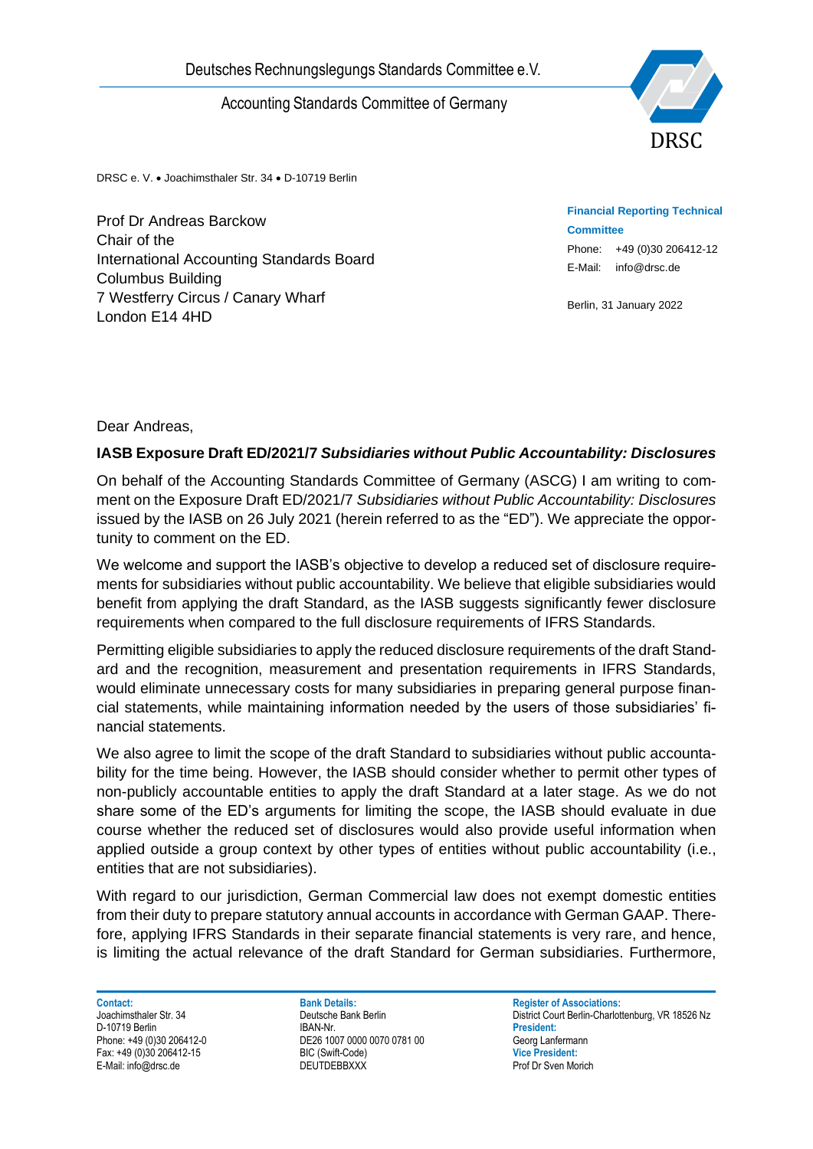

DRSC e. V. • Joachimsthaler Str. 34 • D-10719 Berlin

Prof Dr Andreas Barckow Chair of the International Accounting Standards Board Columbus Building 7 Westferry Circus / Canary Wharf London E14 4HD

**Financial Reporting Technical Committee** Phone: +49 (0)30 206412-12 E-Mail: info@drsc.de

Berlin, 31 January 2022

Dear Andreas,

#### **IASB Exposure Draft ED/2021/7** *Subsidiaries without Public Accountability: Disclosures*

On behalf of the Accounting Standards Committee of Germany (ASCG) I am writing to comment on the Exposure Draft ED/2021/7 *Subsidiaries without Public Accountability: Disclosures* issued by the IASB on 26 July 2021 (herein referred to as the "ED"). We appreciate the opportunity to comment on the ED.

We welcome and support the IASB's objective to develop a reduced set of disclosure requirements for subsidiaries without public accountability. We believe that eligible subsidiaries would benefit from applying the draft Standard, as the IASB suggests significantly fewer disclosure requirements when compared to the full disclosure requirements of IFRS Standards.

Permitting eligible subsidiaries to apply the reduced disclosure requirements of the draft Standard and the recognition, measurement and presentation requirements in IFRS Standards, would eliminate unnecessary costs for many subsidiaries in preparing general purpose financial statements, while maintaining information needed by the users of those subsidiaries' financial statements.

Deutsches Rechnungslegungs Standards Committee e.V.<br>
Accounting Standards Committee of Germany<br>
Than<br>
The Charlies Backow<br>
Charlies Backow<br>
Charlies Backow<br>
Charlies Backow<br>
Columbus Building<br>
Columbus Building<br>
Columbus B We also agree to limit the scope of the draft Standard to subsidiaries without public accountability for the time being. However, the IASB should consider whether to permit other types of non-publicly accountable entities to apply the draft Standard at a later stage. As we do not share some of the ED's arguments for limiting the scope, the IASB should evaluate in due course whether the reduced set of disclosures would also provide useful information when applied outside a group context by other types of entities without public accountability (i.e., entities that are not subsidiaries).

With regard to our jurisdiction, German Commercial law does not exempt domestic entities from their duty to prepare statutory annual accounts in accordance with German GAAP. Therefore, applying IFRS Standards in their separate financial statements is very rare, and hence, is limiting the actual relevance of the draft Standard for German subsidiaries. Furthermore,

**Contact: Bank Details: Bank Details: Register of Associations:** D-10719 Berlin<br>Phone: +49 (0)30 206412-0

Phone: +49 (1007 0000 0070 0781 00<br>Phone: +49 Georg Lanfermann<br>Phone: +49 Vice President: Fax: +49 (0)30 206412-15 BIC (Swift-Code) **Vice President:**

Joachimsthaler Str. 34 **Deutsche Bank Berlin** Deutsche Bank Berlin District Court Berlin-Charlottenburg, VR 18526 Nz<br>D-10719 Berlin District Court Berlin District Court Berlin-Charlottenburg, VR 18526 Nz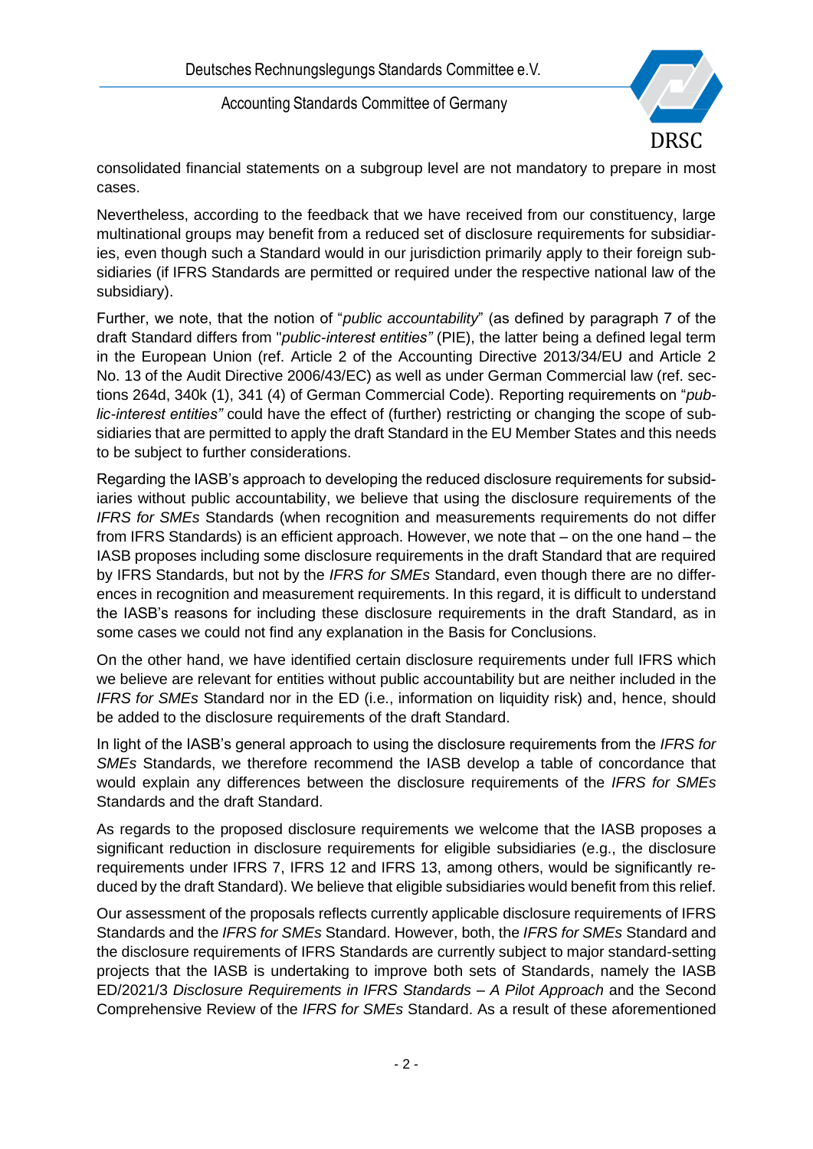

consolidated financial statements on a subgroup level are not mandatory to prepare in most cases.

Nevertheless, according to the feedback that we have received from our constituency, large multinational groups may benefit from a reduced set of disclosure requirements for subsidiaries, even though such a Standard would in our jurisdiction primarily apply to their foreign subsidiaries (if IFRS Standards are permitted or required under the respective national law of the subsidiary).

Further, we note, that the notion of "*public accountability*" (as defined by paragraph 7 of the draft Standard differs from "*public-interest entities"* (PIE), the latter being a defined legal term in the European Union (ref. Article 2 of the Accounting Directive 2013/34/EU and Article 2 No. 13 of the Audit Directive 2006/43/EC) as well as under German Commercial law (ref. sections 264d, 340k (1), 341 (4) of German Commercial Code). Reporting requirements on "*public-interest entities"* could have the effect of (further) restricting or changing the scope of subsidiaries that are permitted to apply the draft Standard in the EU Member States and this needs to be subject to further considerations.

Regarding the IASB's approach to developing the reduced disclosure requirements for subsidiaries without public accountability, we believe that using the disclosure requirements of the *IFRS for SMEs* Standards (when recognition and measurements requirements do not differ from IFRS Standards) is an efficient approach. However, we note that – on the one hand – the IASB proposes including some disclosure requirements in the draft Standard that are required by IFRS Standards, but not by the *IFRS for SMEs* Standard, even though there are no differences in recognition and measurement requirements. In this regard, it is difficult to understand the IASB's reasons for including these disclosure requirements in the draft Standard, as in some cases we could not find any explanation in the Basis for Conclusions.

On the other hand, we have identified certain disclosure requirements under full IFRS which we believe are relevant for entities without public accountability but are neither included in the *IFRS for SMEs* Standard nor in the ED (i.e., information on liquidity risk) and, hence, should be added to the disclosure requirements of the draft Standard.

In light of the IASB's general approach to using the disclosure requirements from the *IFRS for SMEs* Standards, we therefore recommend the IASB develop a table of concordance that would explain any differences between the disclosure requirements of the *IFRS for SMEs* Standards and the draft Standard.

As regards to the proposed disclosure requirements we welcome that the IASB proposes a significant reduction in disclosure requirements for eligible subsidiaries (e.g., the disclosure requirements under IFRS 7, IFRS 12 and IFRS 13, among others, would be significantly reduced by the draft Standard). We believe that eligible subsidiaries would benefit from this relief.

Our assessment of the proposals reflects currently applicable disclosure requirements of IFRS Standards and the *IFRS for SMEs* Standard. However, both, the *IFRS for SMEs* Standard and the disclosure requirements of IFRS Standards are currently subject to major standard-setting projects that the IASB is undertaking to improve both sets of Standards, namely the IASB ED/2021/3 *Disclosure Requirements in IFRS Standards – A Pilot Approach* and the Second Comprehensive Review of the *IFRS for SMEs* Standard. As a result of these aforementioned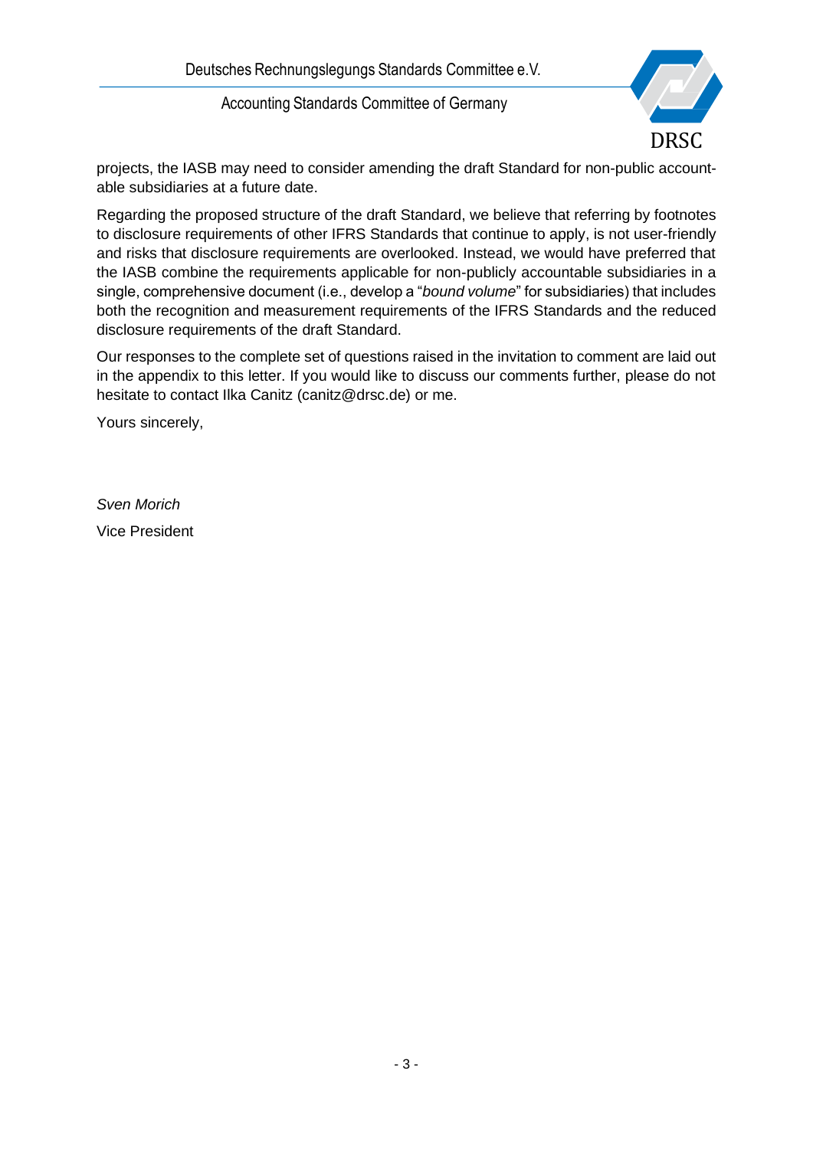

projects, the IASB may need to consider amending the draft Standard for non-public accountable subsidiaries at a future date.

Regarding the proposed structure of the draft Standard, we believe that referring by footnotes to disclosure requirements of other IFRS Standards that continue to apply, is not user-friendly and risks that disclosure requirements are overlooked. Instead, we would have preferred that the IASB combine the requirements applicable for non-publicly accountable subsidiaries in a single, comprehensive document (i.e., develop a "*bound volume*" for subsidiaries) that includes both the recognition and measurement requirements of the IFRS Standards and the reduced disclosure requirements of the draft Standard.

Our responses to the complete set of questions raised in the invitation to comment are laid out in the appendix to this letter. If you would like to discuss our comments further, please do not hesitate to contact Ilka Canitz (canitz@drsc.de) or me.

Yours sincerely,

*Sven Morich* Vice President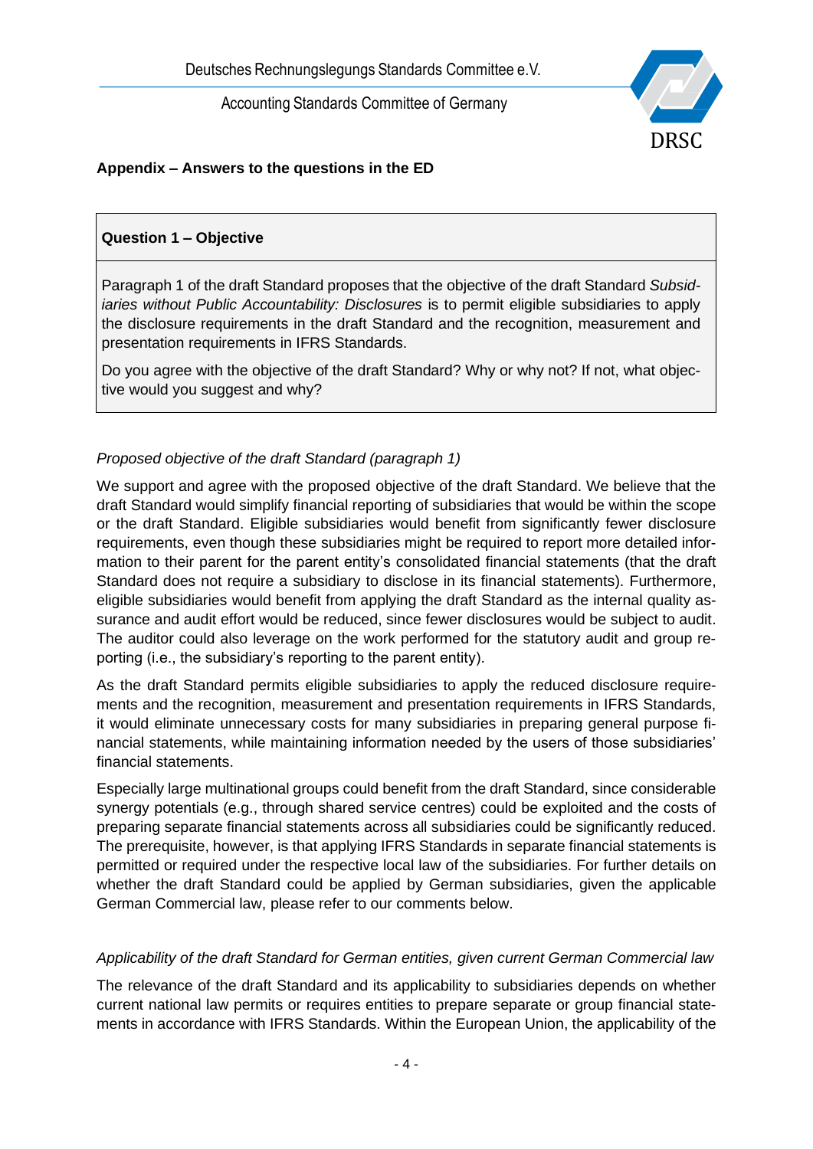

# **Appendix – Answers to the questions in the ED**

## **Question 1 – Objective**

Paragraph 1 of the draft Standard proposes that the objective of the draft Standard *Subsidiaries without Public Accountability: Disclosures* is to permit eligible subsidiaries to apply the disclosure requirements in the draft Standard and the recognition, measurement and presentation requirements in IFRS Standards.

Do you agree with the objective of the draft Standard? Why or why not? If not, what objective would you suggest and why?

### *Proposed objective of the draft Standard (paragraph 1)*

We support and agree with the proposed objective of the draft Standard. We believe that the draft Standard would simplify financial reporting of subsidiaries that would be within the scope or the draft Standard. Eligible subsidiaries would benefit from significantly fewer disclosure requirements, even though these subsidiaries might be required to report more detailed information to their parent for the parent entity's consolidated financial statements (that the draft Standard does not require a subsidiary to disclose in its financial statements). Furthermore, eligible subsidiaries would benefit from applying the draft Standard as the internal quality assurance and audit effort would be reduced, since fewer disclosures would be subject to audit. The auditor could also leverage on the work performed for the statutory audit and group reporting (i.e., the subsidiary's reporting to the parent entity).

As the draft Standard permits eligible subsidiaries to apply the reduced disclosure requirements and the recognition, measurement and presentation requirements in IFRS Standards, it would eliminate unnecessary costs for many subsidiaries in preparing general purpose financial statements, while maintaining information needed by the users of those subsidiaries' financial statements.

Especially large multinational groups could benefit from the draft Standard, since considerable synergy potentials (e.g., through shared service centres) could be exploited and the costs of preparing separate financial statements across all subsidiaries could be significantly reduced. The prerequisite, however, is that applying IFRS Standards in separate financial statements is permitted or required under the respective local law of the subsidiaries. For further details on whether the draft Standard could be applied by German subsidiaries, given the applicable German Commercial law, please refer to our comments below.

### *Applicability of the draft Standard for German entities, given current German Commercial law*

The relevance of the draft Standard and its applicability to subsidiaries depends on whether current national law permits or requires entities to prepare separate or group financial statements in accordance with IFRS Standards. Within the European Union, the applicability of the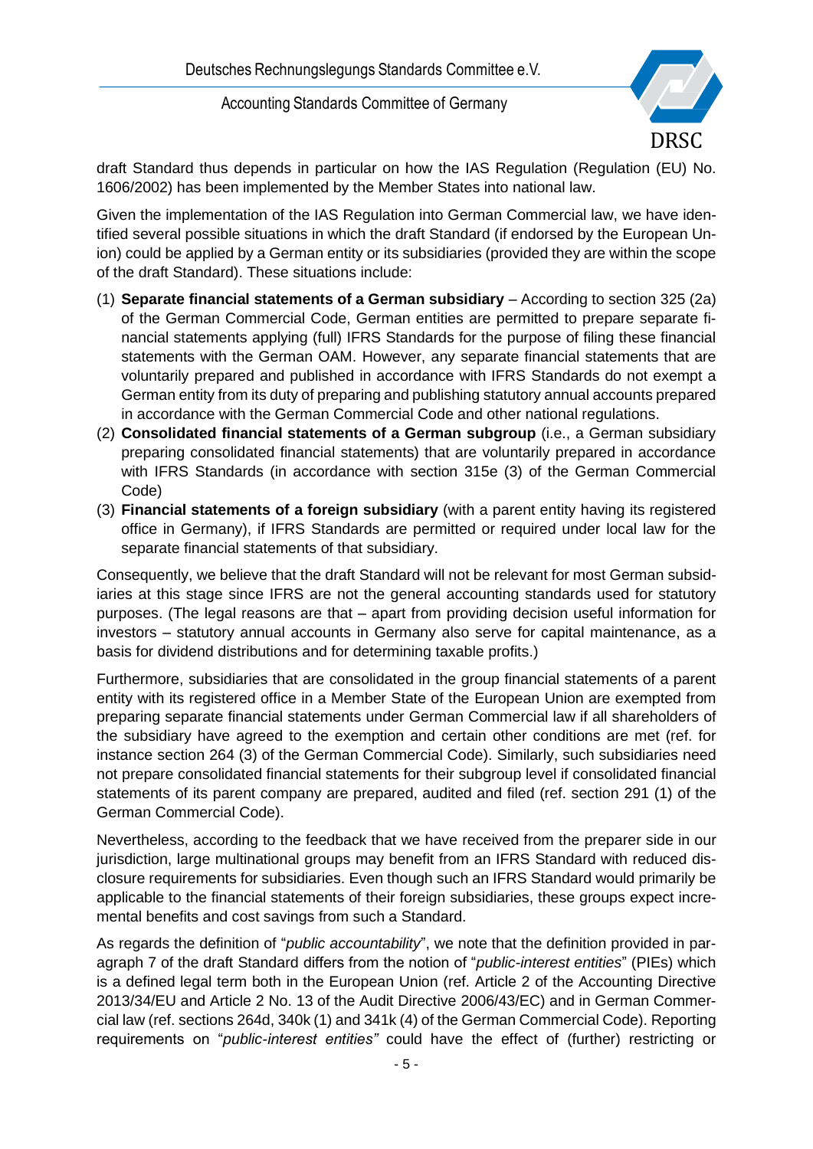

draft Standard thus depends in particular on how the IAS Regulation (Regulation (EU) No. 1606/2002) has been implemented by the Member States into national law.

Given the implementation of the IAS Regulation into German Commercial law, we have identified several possible situations in which the draft Standard (if endorsed by the European Union) could be applied by a German entity or its subsidiaries (provided they are within the scope of the draft Standard). These situations include:

- (1) **Separate financial statements of a German subsidiary** According to section 325 (2a) of the German Commercial Code, German entities are permitted to prepare separate financial statements applying (full) IFRS Standards for the purpose of filing these financial statements with the German OAM. However, any separate financial statements that are voluntarily prepared and published in accordance with IFRS Standards do not exempt a German entity from its duty of preparing and publishing statutory annual accounts prepared in accordance with the German Commercial Code and other national regulations.
- (2) **Consolidated financial statements of a German subgroup** (i.e., a German subsidiary preparing consolidated financial statements) that are voluntarily prepared in accordance with IFRS Standards (in accordance with section 315e (3) of the German Commercial Code)
- (3) **Financial statements of a foreign subsidiary** (with a parent entity having its registered office in Germany), if IFRS Standards are permitted or required under local law for the separate financial statements of that subsidiary.

Consequently, we believe that the draft Standard will not be relevant for most German subsidiaries at this stage since IFRS are not the general accounting standards used for statutory purposes. (The legal reasons are that – apart from providing decision useful information for investors – statutory annual accounts in Germany also serve for capital maintenance, as a basis for dividend distributions and for determining taxable profits.)

Furthermore, subsidiaries that are consolidated in the group financial statements of a parent entity with its registered office in a Member State of the European Union are exempted from preparing separate financial statements under German Commercial law if all shareholders of the subsidiary have agreed to the exemption and certain other conditions are met (ref. for instance section 264 (3) of the German Commercial Code). Similarly, such subsidiaries need not prepare consolidated financial statements for their subgroup level if consolidated financial statements of its parent company are prepared, audited and filed (ref. section 291 (1) of the German Commercial Code).

Nevertheless, according to the feedback that we have received from the preparer side in our jurisdiction, large multinational groups may benefit from an IFRS Standard with reduced disclosure requirements for subsidiaries. Even though such an IFRS Standard would primarily be applicable to the financial statements of their foreign subsidiaries, these groups expect incremental benefits and cost savings from such a Standard.

As regards the definition of "*public accountability*", we note that the definition provided in paragraph 7 of the draft Standard differs from the notion of "*public-interest entities*" (PIEs) which is a defined legal term both in the European Union (ref. Article 2 of the Accounting Directive 2013/34/EU and Article 2 No. 13 of the Audit Directive 2006/43/EC) and in German Commercial law (ref. sections 264d, 340k (1) and 341k (4) of the German Commercial Code). Reporting requirements on "*public-interest entities"* could have the effect of (further) restricting or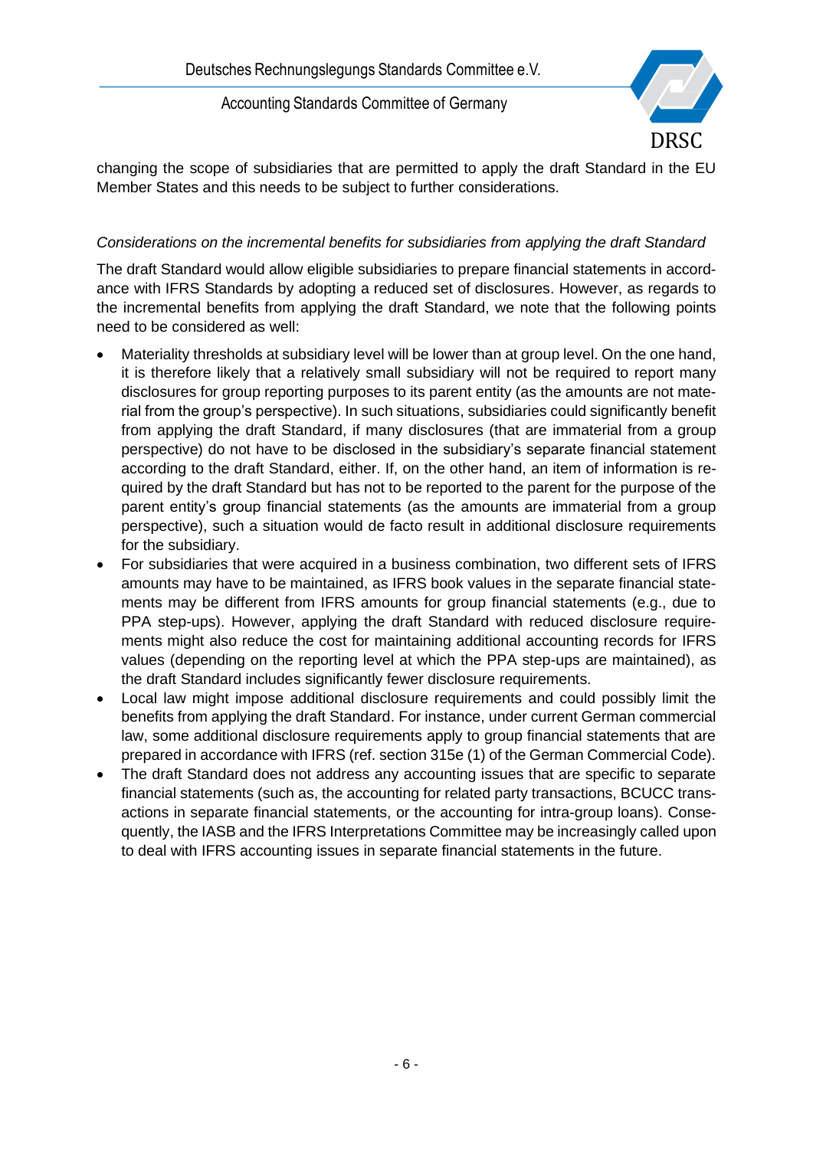

changing the scope of subsidiaries that are permitted to apply the draft Standard in the EU Member States and this needs to be subject to further considerations.

### *Considerations on the incremental benefits for subsidiaries from applying the draft Standard*

The draft Standard would allow eligible subsidiaries to prepare financial statements in accordance with IFRS Standards by adopting a reduced set of disclosures. However, as regards to the incremental benefits from applying the draft Standard, we note that the following points need to be considered as well:

- Materiality thresholds at subsidiary level will be lower than at group level. On the one hand, it is therefore likely that a relatively small subsidiary will not be required to report many disclosures for group reporting purposes to its parent entity (as the amounts are not material from the group's perspective). In such situations, subsidiaries could significantly benefit from applying the draft Standard, if many disclosures (that are immaterial from a group perspective) do not have to be disclosed in the subsidiary's separate financial statement according to the draft Standard, either. If, on the other hand, an item of information is required by the draft Standard but has not to be reported to the parent for the purpose of the parent entity's group financial statements (as the amounts are immaterial from a group perspective), such a situation would de facto result in additional disclosure requirements for the subsidiary.
- For subsidiaries that were acquired in a business combination, two different sets of IFRS amounts may have to be maintained, as IFRS book values in the separate financial statements may be different from IFRS amounts for group financial statements (e.g., due to PPA step-ups). However, applying the draft Standard with reduced disclosure requirements might also reduce the cost for maintaining additional accounting records for IFRS values (depending on the reporting level at which the PPA step-ups are maintained), as the draft Standard includes significantly fewer disclosure requirements.
- Local law might impose additional disclosure requirements and could possibly limit the benefits from applying the draft Standard. For instance, under current German commercial law, some additional disclosure requirements apply to group financial statements that are prepared in accordance with IFRS (ref. section 315e (1) of the German Commercial Code).
- The draft Standard does not address any accounting issues that are specific to separate financial statements (such as, the accounting for related party transactions, BCUCC transactions in separate financial statements, or the accounting for intra-group loans). Consequently, the IASB and the IFRS Interpretations Committee may be increasingly called upon to deal with IFRS accounting issues in separate financial statements in the future.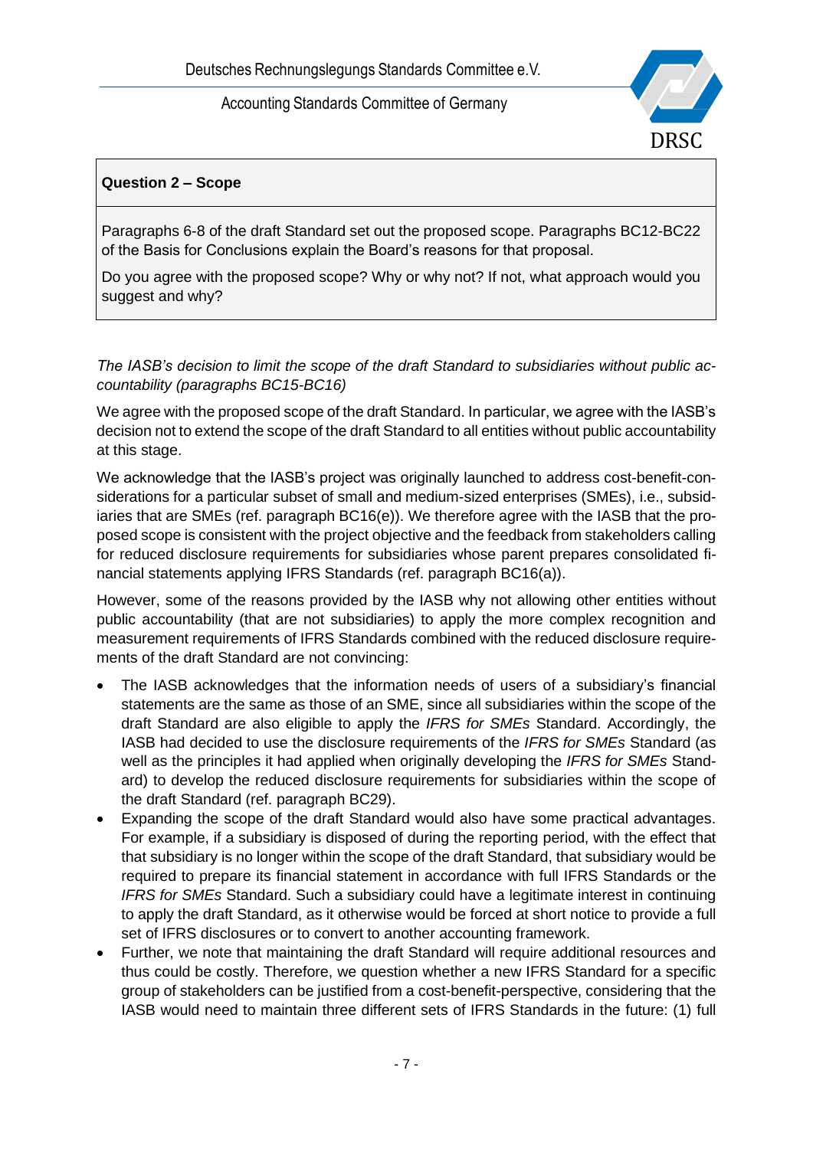

## **Question 2 – Scope**

Paragraphs 6-8 of the draft Standard set out the proposed scope. Paragraphs BC12-BC22 of the Basis for Conclusions explain the Board's reasons for that proposal.

Do you agree with the proposed scope? Why or why not? If not, what approach would you suggest and why?

#### *The IASB's decision to limit the scope of the draft Standard to subsidiaries without public accountability (paragraphs BC15-BC16)*

We agree with the proposed scope of the draft Standard. In particular, we agree with the IASB's decision not to extend the scope of the draft Standard to all entities without public accountability at this stage.

We acknowledge that the IASB's project was originally launched to address cost-benefit-considerations for a particular subset of small and medium-sized enterprises (SMEs), i.e., subsidiaries that are SMEs (ref. paragraph BC16(e)). We therefore agree with the IASB that the proposed scope is consistent with the project objective and the feedback from stakeholders calling for reduced disclosure requirements for subsidiaries whose parent prepares consolidated financial statements applying IFRS Standards (ref. paragraph BC16(a)).

However, some of the reasons provided by the IASB why not allowing other entities without public accountability (that are not subsidiaries) to apply the more complex recognition and measurement requirements of IFRS Standards combined with the reduced disclosure requirements of the draft Standard are not convincing:

- The IASB acknowledges that the information needs of users of a subsidiary's financial statements are the same as those of an SME, since all subsidiaries within the scope of the draft Standard are also eligible to apply the *IFRS for SMEs* Standard. Accordingly, the IASB had decided to use the disclosure requirements of the *IFRS for SMEs* Standard (as well as the principles it had applied when originally developing the *IFRS for SMEs* Standard) to develop the reduced disclosure requirements for subsidiaries within the scope of the draft Standard (ref. paragraph BC29).
- Expanding the scope of the draft Standard would also have some practical advantages. For example, if a subsidiary is disposed of during the reporting period, with the effect that that subsidiary is no longer within the scope of the draft Standard, that subsidiary would be required to prepare its financial statement in accordance with full IFRS Standards or the *IFRS for SMEs* Standard. Such a subsidiary could have a legitimate interest in continuing to apply the draft Standard, as it otherwise would be forced at short notice to provide a full set of IFRS disclosures or to convert to another accounting framework.
- Further, we note that maintaining the draft Standard will require additional resources and thus could be costly. Therefore, we question whether a new IFRS Standard for a specific group of stakeholders can be justified from a cost-benefit-perspective, considering that the IASB would need to maintain three different sets of IFRS Standards in the future: (1) full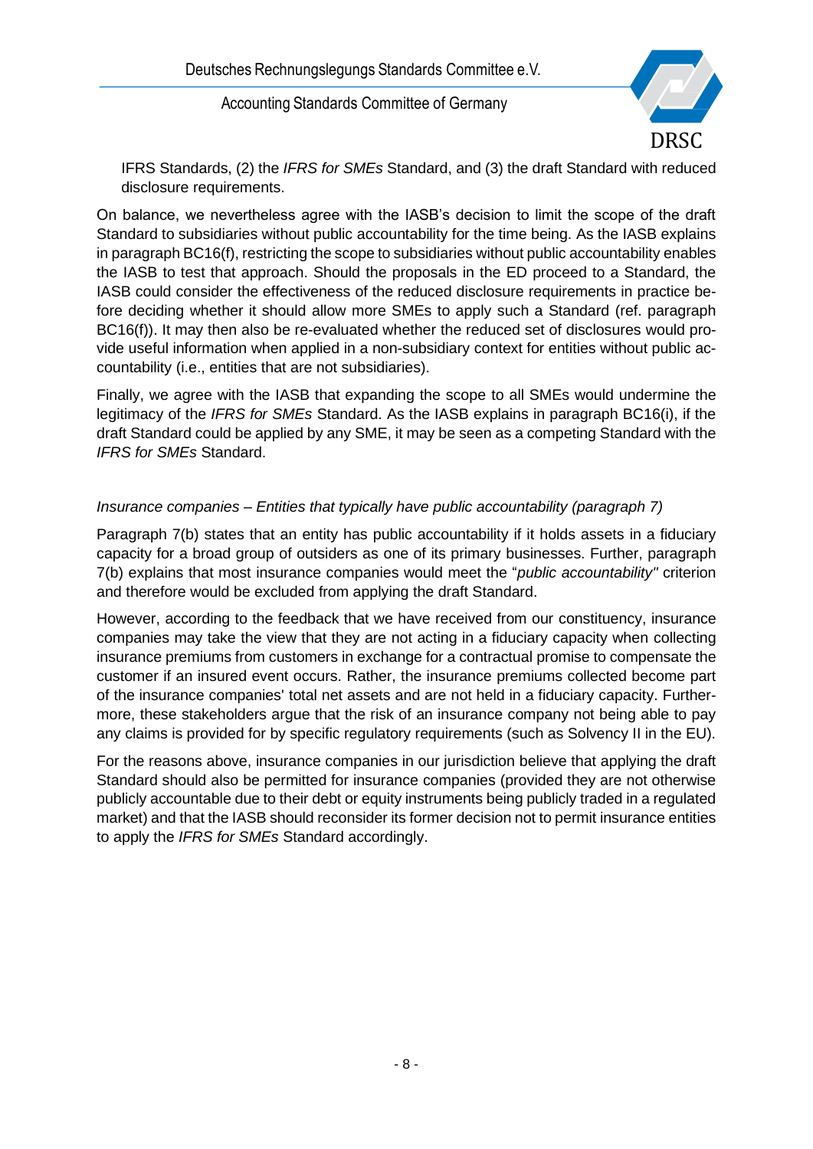

IFRS Standards, (2) the *IFRS for SMEs* Standard, and (3) the draft Standard with reduced disclosure requirements.

On balance, we nevertheless agree with the IASB's decision to limit the scope of the draft Standard to subsidiaries without public accountability for the time being. As the IASB explains in paragraph BC16(f), restricting the scope to subsidiaries without public accountability enables the IASB to test that approach. Should the proposals in the ED proceed to a Standard, the IASB could consider the effectiveness of the reduced disclosure requirements in practice before deciding whether it should allow more SMEs to apply such a Standard (ref. paragraph BC16(f)). It may then also be re-evaluated whether the reduced set of disclosures would provide useful information when applied in a non-subsidiary context for entities without public accountability (i.e., entities that are not subsidiaries).

Finally, we agree with the IASB that expanding the scope to all SMEs would undermine the legitimacy of the *IFRS for SMEs* Standard. As the IASB explains in paragraph BC16(i), if the draft Standard could be applied by any SME, it may be seen as a competing Standard with the *IFRS for SMEs* Standard.

### *Insurance companies – Entities that typically have public accountability (paragraph 7)*

Paragraph 7(b) states that an entity has public accountability if it holds assets in a fiduciary capacity for a broad group of outsiders as one of its primary businesses. Further, paragraph 7(b) explains that most insurance companies would meet the "*public accountability"* criterion and therefore would be excluded from applying the draft Standard.

However, according to the feedback that we have received from our constituency, insurance companies may take the view that they are not acting in a fiduciary capacity when collecting insurance premiums from customers in exchange for a contractual promise to compensate the customer if an insured event occurs. Rather, the insurance premiums collected become part of the insurance companies' total net assets and are not held in a fiduciary capacity. Furthermore, these stakeholders argue that the risk of an insurance company not being able to pay any claims is provided for by specific regulatory requirements (such as Solvency II in the EU).

For the reasons above, insurance companies in our jurisdiction believe that applying the draft Standard should also be permitted for insurance companies (provided they are not otherwise publicly accountable due to their debt or equity instruments being publicly traded in a regulated market) and that the IASB should reconsider its former decision not to permit insurance entities to apply the *IFRS for SMEs* Standard accordingly.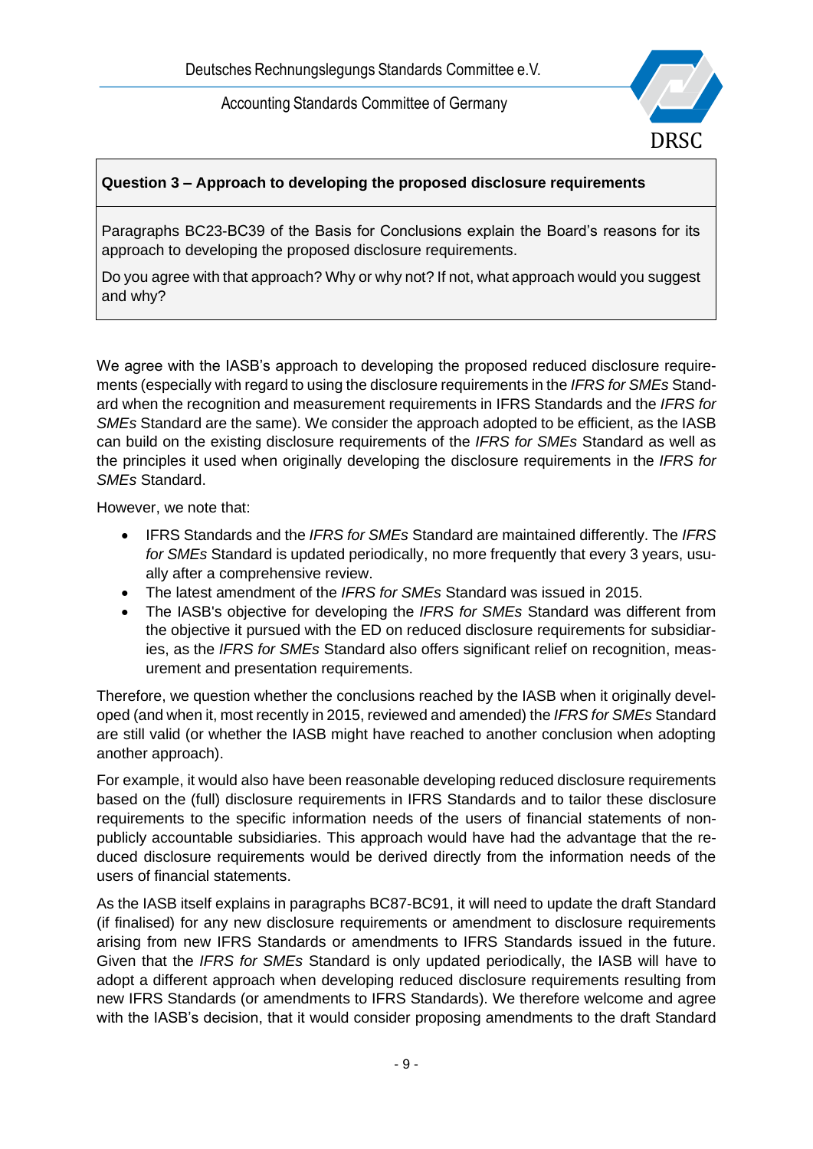

# **Question 3 – Approach to developing the proposed disclosure requirements**

Paragraphs BC23-BC39 of the Basis for Conclusions explain the Board's reasons for its approach to developing the proposed disclosure requirements.

Do you agree with that approach? Why or why not? If not, what approach would you suggest and why?

We agree with the IASB's approach to developing the proposed reduced disclosure requirements (especially with regard to using the disclosure requirements in the *IFRS for SMEs* Standard when the recognition and measurement requirements in IFRS Standards and the *IFRS for SMEs* Standard are the same). We consider the approach adopted to be efficient, as the IASB can build on the existing disclosure requirements of the *IFRS for SMEs* Standard as well as the principles it used when originally developing the disclosure requirements in the *IFRS for SMEs* Standard.

However, we note that:

- IFRS Standards and the *IFRS for SMEs* Standard are maintained differently. The *IFRS for SMEs* Standard is updated periodically, no more frequently that every 3 years, usually after a comprehensive review.
- The latest amendment of the *IFRS for SMEs* Standard was issued in 2015.
- The IASB's objective for developing the *IFRS for SMEs* Standard was different from the objective it pursued with the ED on reduced disclosure requirements for subsidiaries, as the *IFRS for SMEs* Standard also offers significant relief on recognition, measurement and presentation requirements.

Therefore, we question whether the conclusions reached by the IASB when it originally developed (and when it, most recently in 2015, reviewed and amended) the *IFRS for SMEs* Standard are still valid (or whether the IASB might have reached to another conclusion when adopting another approach).

For example, it would also have been reasonable developing reduced disclosure requirements based on the (full) disclosure requirements in IFRS Standards and to tailor these disclosure requirements to the specific information needs of the users of financial statements of nonpublicly accountable subsidiaries. This approach would have had the advantage that the reduced disclosure requirements would be derived directly from the information needs of the users of financial statements.

As the IASB itself explains in paragraphs BC87-BC91, it will need to update the draft Standard (if finalised) for any new disclosure requirements or amendment to disclosure requirements arising from new IFRS Standards or amendments to IFRS Standards issued in the future. Given that the *IFRS for SMEs* Standard is only updated periodically, the IASB will have to adopt a different approach when developing reduced disclosure requirements resulting from new IFRS Standards (or amendments to IFRS Standards). We therefore welcome and agree with the IASB's decision, that it would consider proposing amendments to the draft Standard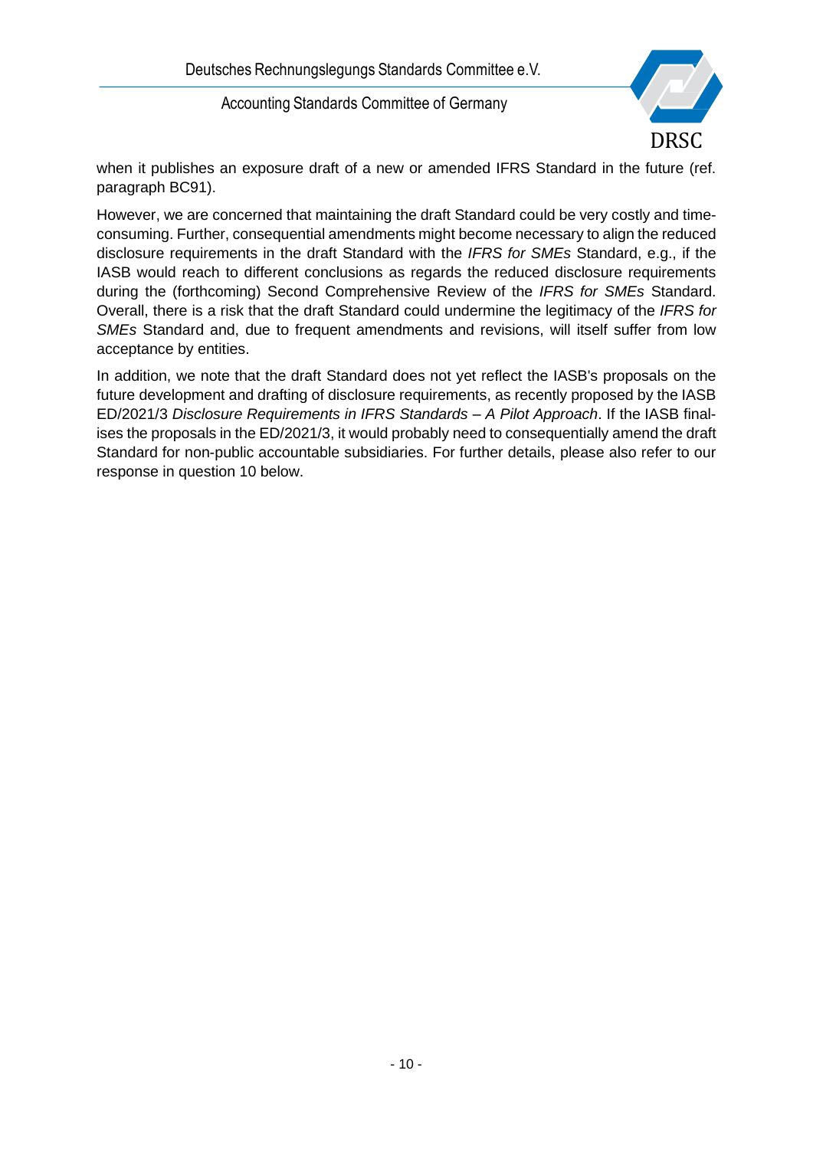

when it publishes an exposure draft of a new or amended IFRS Standard in the future (ref. paragraph BC91).

However, we are concerned that maintaining the draft Standard could be very costly and timeconsuming. Further, consequential amendments might become necessary to align the reduced disclosure requirements in the draft Standard with the *IFRS for SMEs* Standard, e.g., if the IASB would reach to different conclusions as regards the reduced disclosure requirements during the (forthcoming) Second Comprehensive Review of the *IFRS for SMEs* Standard. Overall, there is a risk that the draft Standard could undermine the legitimacy of the *IFRS for SMEs* Standard and, due to frequent amendments and revisions, will itself suffer from low acceptance by entities.

In addition, we note that the draft Standard does not yet reflect the IASB's proposals on the future development and drafting of disclosure requirements, as recently proposed by the IASB ED/2021/3 *Disclosure Requirements in IFRS Standards – A Pilot Approach*. If the IASB finalises the proposals in the ED/2021/3, it would probably need to consequentially amend the draft Standard for non-public accountable subsidiaries. For further details, please also refer to our response in question 10 below.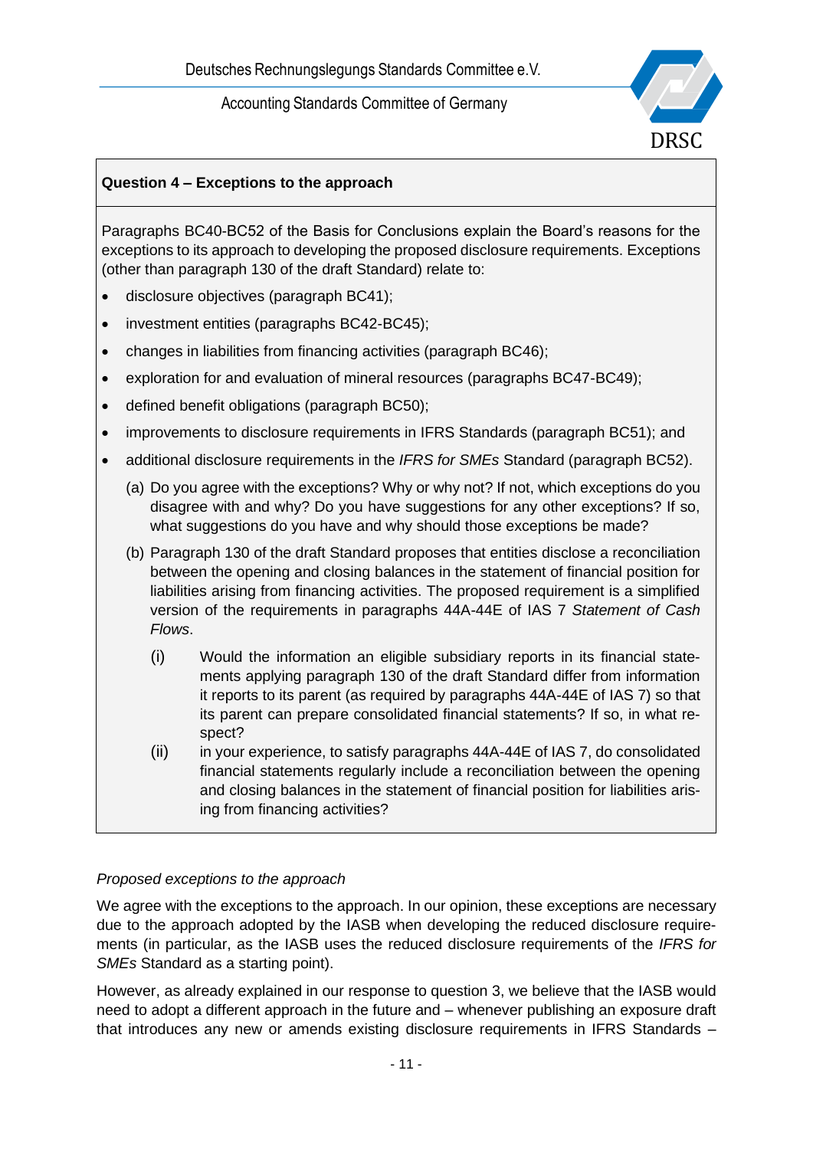

# **Question 4 – Exceptions to the approach**

Paragraphs BC40-BC52 of the Basis for Conclusions explain the Board's reasons for the exceptions to its approach to developing the proposed disclosure requirements. Exceptions (other than paragraph 130 of the draft Standard) relate to:

- disclosure objectives (paragraph BC41);
- investment entities (paragraphs BC42-BC45);
- changes in liabilities from financing activities (paragraph BC46);
- exploration for and evaluation of mineral resources (paragraphs BC47-BC49);
- defined benefit obligations (paragraph BC50);
- improvements to disclosure requirements in IFRS Standards (paragraph BC51); and
- additional disclosure requirements in the *IFRS for SMEs* Standard (paragraph BC52).
	- (a) Do you agree with the exceptions? Why or why not? If not, which exceptions do you disagree with and why? Do you have suggestions for any other exceptions? If so, what suggestions do you have and why should those exceptions be made?
	- (b) Paragraph 130 of the draft Standard proposes that entities disclose a reconciliation between the opening and closing balances in the statement of financial position for liabilities arising from financing activities. The proposed requirement is a simplified version of the requirements in paragraphs 44A-44E of IAS 7 *Statement of Cash Flows*.
		- (i) Would the information an eligible subsidiary reports in its financial statements applying paragraph 130 of the draft Standard differ from information it reports to its parent (as required by paragraphs 44A-44E of IAS 7) so that its parent can prepare consolidated financial statements? If so, in what respect?
		- (ii) in your experience, to satisfy paragraphs 44A-44E of IAS 7, do consolidated financial statements regularly include a reconciliation between the opening and closing balances in the statement of financial position for liabilities arising from financing activities?

### *Proposed exceptions to the approach*

We agree with the exceptions to the approach. In our opinion, these exceptions are necessary due to the approach adopted by the IASB when developing the reduced disclosure requirements (in particular, as the IASB uses the reduced disclosure requirements of the *IFRS for SMEs* Standard as a starting point).

However, as already explained in our response to question 3, we believe that the IASB would need to adopt a different approach in the future and – whenever publishing an exposure draft that introduces any new or amends existing disclosure requirements in IFRS Standards –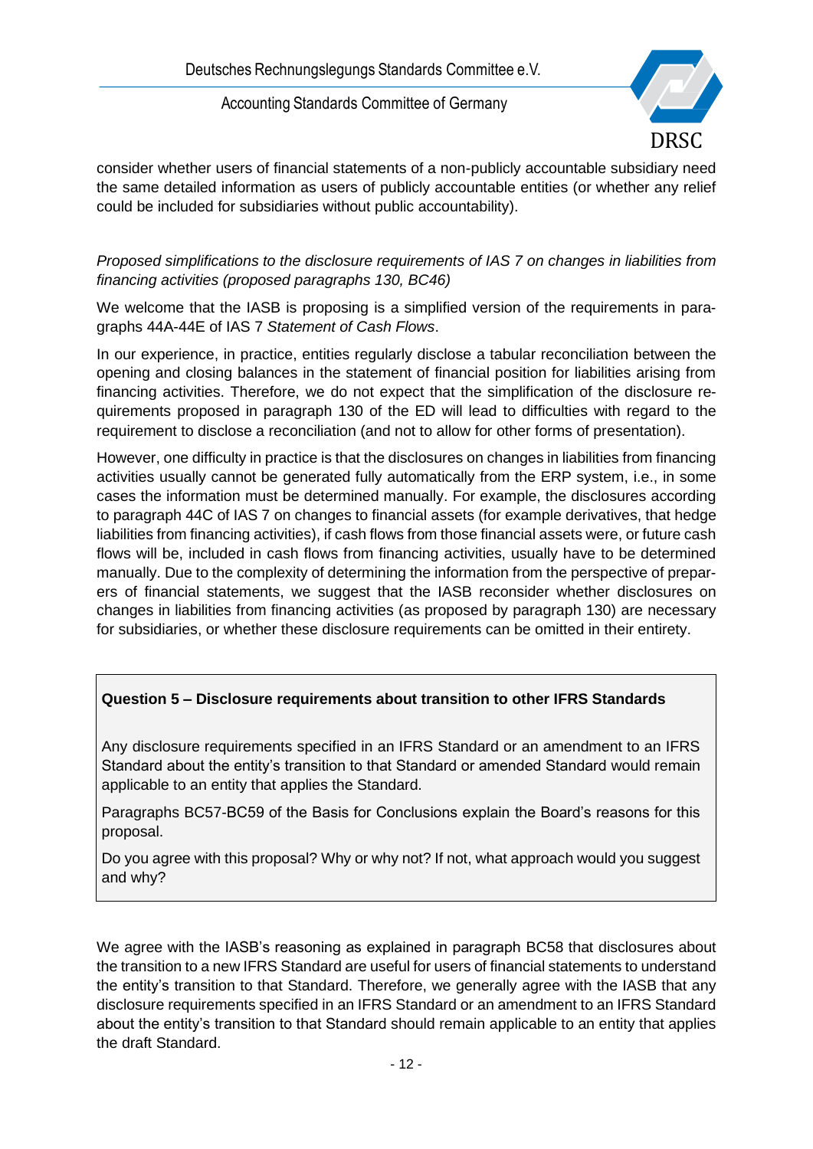

consider whether users of financial statements of a non-publicly accountable subsidiary need the same detailed information as users of publicly accountable entities (or whether any relief could be included for subsidiaries without public accountability).

*Proposed simplifications to the disclosure requirements of IAS 7 on changes in liabilities from financing activities (proposed paragraphs 130, BC46)*

We welcome that the IASB is proposing is a simplified version of the requirements in paragraphs 44A-44E of IAS 7 *Statement of Cash Flows*.

In our experience, in practice, entities regularly disclose a tabular reconciliation between the opening and closing balances in the statement of financial position for liabilities arising from financing activities. Therefore, we do not expect that the simplification of the disclosure requirements proposed in paragraph 130 of the ED will lead to difficulties with regard to the requirement to disclose a reconciliation (and not to allow for other forms of presentation).

However, one difficulty in practice is that the disclosures on changes in liabilities from financing activities usually cannot be generated fully automatically from the ERP system, i.e., in some cases the information must be determined manually. For example, the disclosures according to paragraph 44C of IAS 7 on changes to financial assets (for example derivatives, that hedge liabilities from financing activities), if cash flows from those financial assets were, or future cash flows will be, included in cash flows from financing activities, usually have to be determined manually. Due to the complexity of determining the information from the perspective of preparers of financial statements, we suggest that the IASB reconsider whether disclosures on changes in liabilities from financing activities (as proposed by paragraph 130) are necessary for subsidiaries, or whether these disclosure requirements can be omitted in their entirety.

# **Question 5 – Disclosure requirements about transition to other IFRS Standards**

Any disclosure requirements specified in an IFRS Standard or an amendment to an IFRS Standard about the entity's transition to that Standard or amended Standard would remain applicable to an entity that applies the Standard.

Paragraphs BC57-BC59 of the Basis for Conclusions explain the Board's reasons for this proposal.

Do you agree with this proposal? Why or why not? If not, what approach would you suggest and why?

We agree with the IASB's reasoning as explained in paragraph BC58 that disclosures about the transition to a new IFRS Standard are useful for users of financial statements to understand the entity's transition to that Standard. Therefore, we generally agree with the IASB that any disclosure requirements specified in an IFRS Standard or an amendment to an IFRS Standard about the entity's transition to that Standard should remain applicable to an entity that applies the draft Standard.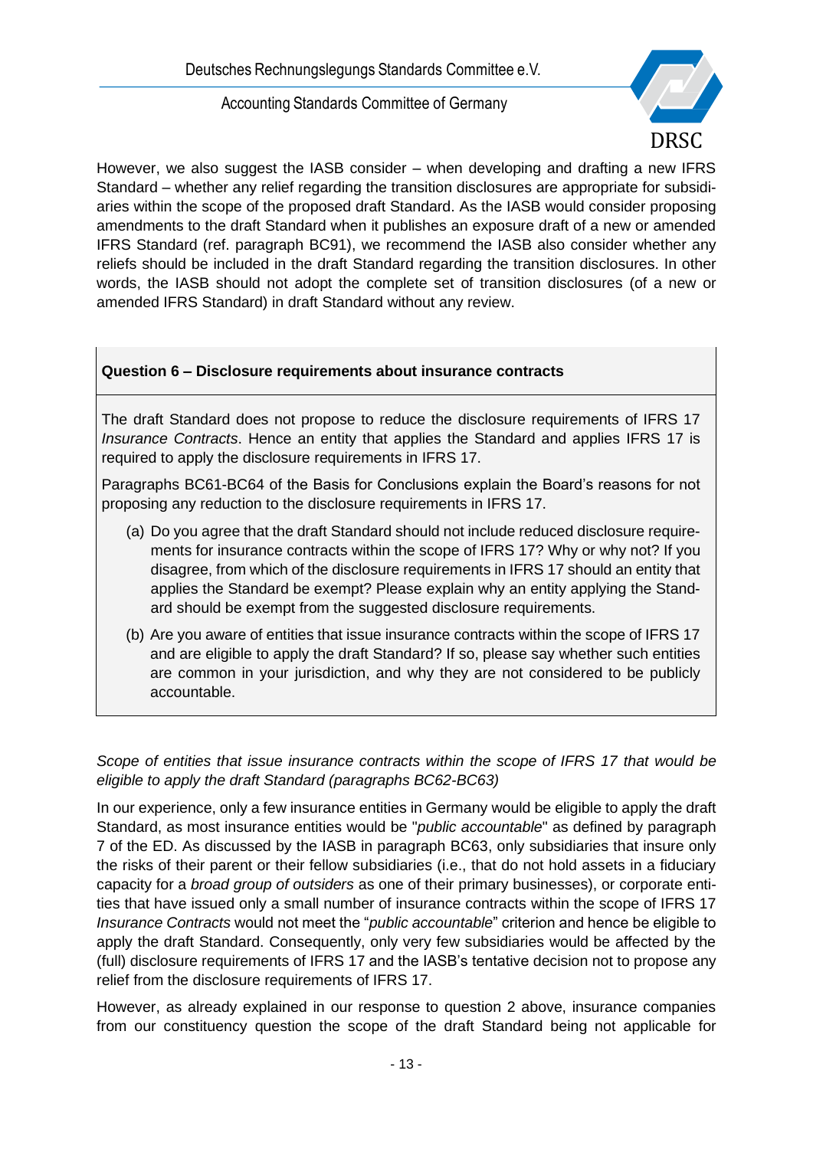

However, we also suggest the IASB consider – when developing and drafting a new IFRS Standard – whether any relief regarding the transition disclosures are appropriate for subsidiaries within the scope of the proposed draft Standard. As the IASB would consider proposing amendments to the draft Standard when it publishes an exposure draft of a new or amended IFRS Standard (ref. paragraph BC91), we recommend the IASB also consider whether any reliefs should be included in the draft Standard regarding the transition disclosures. In other words, the IASB should not adopt the complete set of transition disclosures (of a new or amended IFRS Standard) in draft Standard without any review.

### **Question 6 – Disclosure requirements about insurance contracts**

The draft Standard does not propose to reduce the disclosure requirements of IFRS 17 *Insurance Contracts*. Hence an entity that applies the Standard and applies IFRS 17 is required to apply the disclosure requirements in IFRS 17.

Paragraphs BC61-BC64 of the Basis for Conclusions explain the Board's reasons for not proposing any reduction to the disclosure requirements in IFRS 17.

- (a) Do you agree that the draft Standard should not include reduced disclosure requirements for insurance contracts within the scope of IFRS 17? Why or why not? If you disagree, from which of the disclosure requirements in IFRS 17 should an entity that applies the Standard be exempt? Please explain why an entity applying the Standard should be exempt from the suggested disclosure requirements.
- (b) Are you aware of entities that issue insurance contracts within the scope of IFRS 17 and are eligible to apply the draft Standard? If so, please say whether such entities are common in your jurisdiction, and why they are not considered to be publicly accountable.

*Scope of entities that issue insurance contracts within the scope of IFRS 17 that would be eligible to apply the draft Standard (paragraphs BC62-BC63)*

In our experience, only a few insurance entities in Germany would be eligible to apply the draft Standard, as most insurance entities would be "*public accountable*" as defined by paragraph 7 of the ED. As discussed by the IASB in paragraph BC63, only subsidiaries that insure only the risks of their parent or their fellow subsidiaries (i.e., that do not hold assets in a fiduciary capacity for a *broad group of outsiders* as one of their primary businesses), or corporate entities that have issued only a small number of insurance contracts within the scope of IFRS 17 *Insurance Contracts* would not meet the "*public accountable*" criterion and hence be eligible to apply the draft Standard. Consequently, only very few subsidiaries would be affected by the (full) disclosure requirements of IFRS 17 and the IASB's tentative decision not to propose any relief from the disclosure requirements of IFRS 17.

However, as already explained in our response to question 2 above, insurance companies from our constituency question the scope of the draft Standard being not applicable for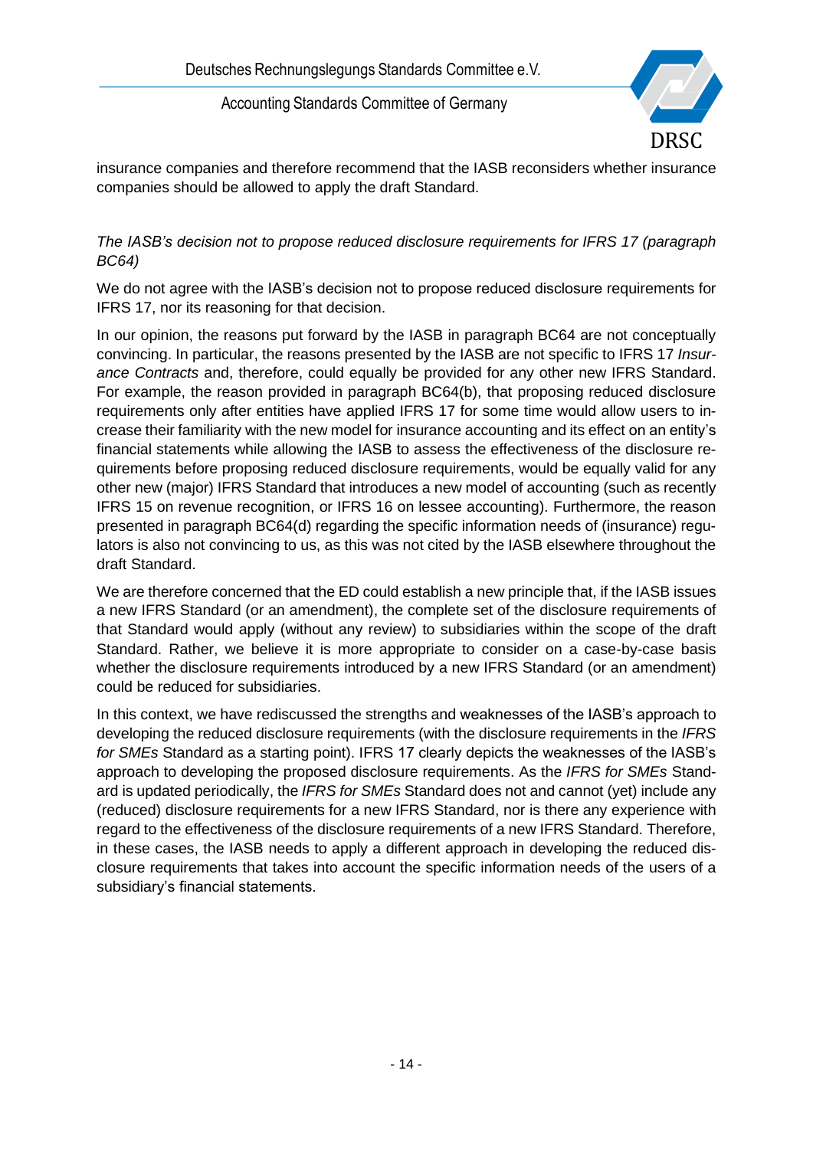

insurance companies and therefore recommend that the IASB reconsiders whether insurance companies should be allowed to apply the draft Standard.

#### *The IASB's decision not to propose reduced disclosure requirements for IFRS 17 (paragraph BC64)*

We do not agree with the IASB's decision not to propose reduced disclosure requirements for IFRS 17, nor its reasoning for that decision.

In our opinion, the reasons put forward by the IASB in paragraph BC64 are not conceptually convincing. In particular, the reasons presented by the IASB are not specific to IFRS 17 *Insurance Contracts* and, therefore, could equally be provided for any other new IFRS Standard. For example, the reason provided in paragraph BC64(b), that proposing reduced disclosure requirements only after entities have applied IFRS 17 for some time would allow users to increase their familiarity with the new model for insurance accounting and its effect on an entity's financial statements while allowing the IASB to assess the effectiveness of the disclosure requirements before proposing reduced disclosure requirements, would be equally valid for any other new (major) IFRS Standard that introduces a new model of accounting (such as recently IFRS 15 on revenue recognition, or IFRS 16 on lessee accounting). Furthermore, the reason presented in paragraph BC64(d) regarding the specific information needs of (insurance) regulators is also not convincing to us, as this was not cited by the IASB elsewhere throughout the draft Standard.

We are therefore concerned that the ED could establish a new principle that, if the IASB issues a new IFRS Standard (or an amendment), the complete set of the disclosure requirements of that Standard would apply (without any review) to subsidiaries within the scope of the draft Standard. Rather, we believe it is more appropriate to consider on a case-by-case basis whether the disclosure requirements introduced by a new IFRS Standard (or an amendment) could be reduced for subsidiaries.

In this context, we have rediscussed the strengths and weaknesses of the IASB's approach to developing the reduced disclosure requirements (with the disclosure requirements in the *IFRS for SMEs* Standard as a starting point). IFRS 17 clearly depicts the weaknesses of the IASB's approach to developing the proposed disclosure requirements. As the *IFRS for SMEs* Standard is updated periodically, the *IFRS for SMEs* Standard does not and cannot (yet) include any (reduced) disclosure requirements for a new IFRS Standard, nor is there any experience with regard to the effectiveness of the disclosure requirements of a new IFRS Standard. Therefore, in these cases, the IASB needs to apply a different approach in developing the reduced disclosure requirements that takes into account the specific information needs of the users of a subsidiary's financial statements.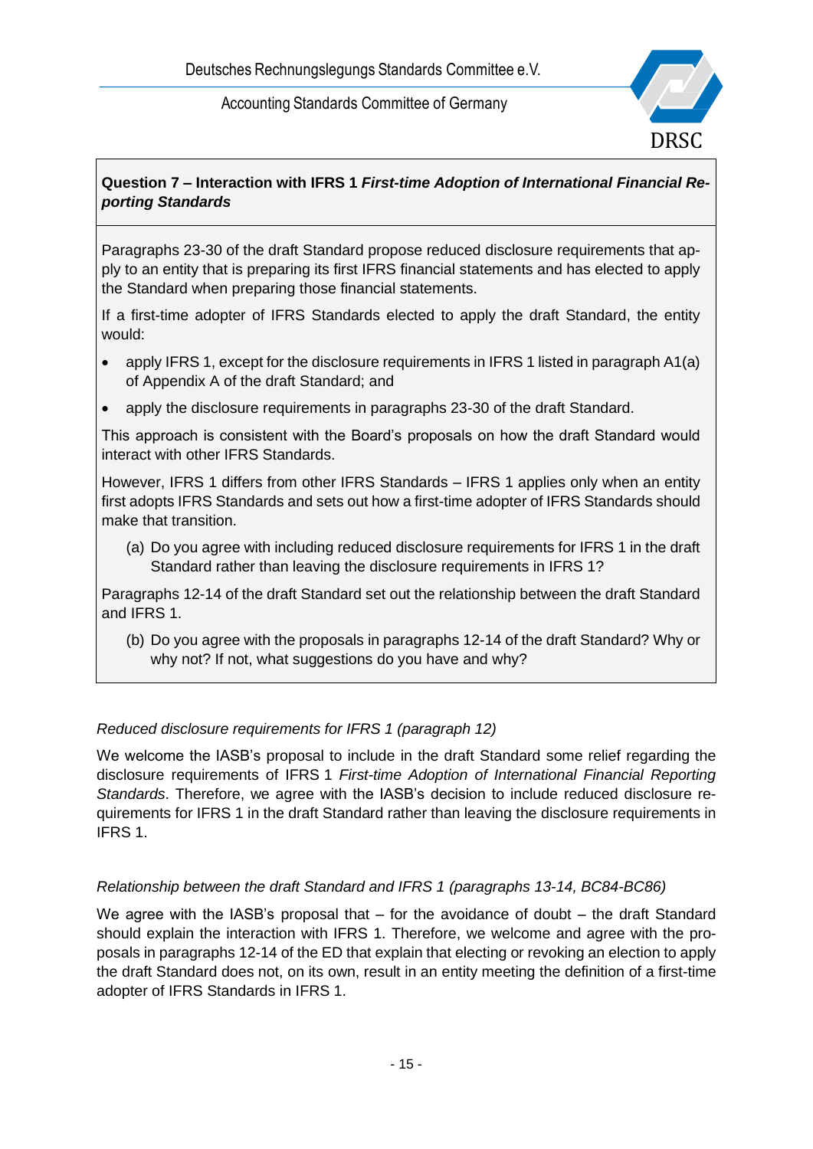

# **Question 7 – Interaction with IFRS 1** *First-time Adoption of International Financial Reporting Standards*

Paragraphs 23-30 of the draft Standard propose reduced disclosure requirements that apply to an entity that is preparing its first IFRS financial statements and has elected to apply the Standard when preparing those financial statements.

If a first-time adopter of IFRS Standards elected to apply the draft Standard, the entity would:

- apply IFRS 1, except for the disclosure requirements in IFRS 1 listed in paragraph A1(a) of Appendix A of the draft Standard; and
- apply the disclosure requirements in paragraphs 23-30 of the draft Standard.

This approach is consistent with the Board's proposals on how the draft Standard would interact with other IFRS Standards.

However, IFRS 1 differs from other IFRS Standards – IFRS 1 applies only when an entity first adopts IFRS Standards and sets out how a first-time adopter of IFRS Standards should make that transition.

(a) Do you agree with including reduced disclosure requirements for IFRS 1 in the draft Standard rather than leaving the disclosure requirements in IFRS 1?

Paragraphs 12-14 of the draft Standard set out the relationship between the draft Standard and IFRS 1.

(b) Do you agree with the proposals in paragraphs 12-14 of the draft Standard? Why or why not? If not, what suggestions do you have and why?

### *Reduced disclosure requirements for IFRS 1 (paragraph 12)*

We welcome the IASB's proposal to include in the draft Standard some relief regarding the disclosure requirements of IFRS 1 *First-time Adoption of International Financial Reporting Standards*. Therefore, we agree with the IASB's decision to include reduced disclosure requirements for IFRS 1 in the draft Standard rather than leaving the disclosure requirements in IFRS 1.

### *Relationship between the draft Standard and IFRS 1 (paragraphs 13-14, BC84-BC86)*

We agree with the IASB's proposal that  $-$  for the avoidance of doubt  $-$  the draft Standard should explain the interaction with IFRS 1. Therefore, we welcome and agree with the proposals in paragraphs 12-14 of the ED that explain that electing or revoking an election to apply the draft Standard does not, on its own, result in an entity meeting the definition of a first-time adopter of IFRS Standards in IFRS 1.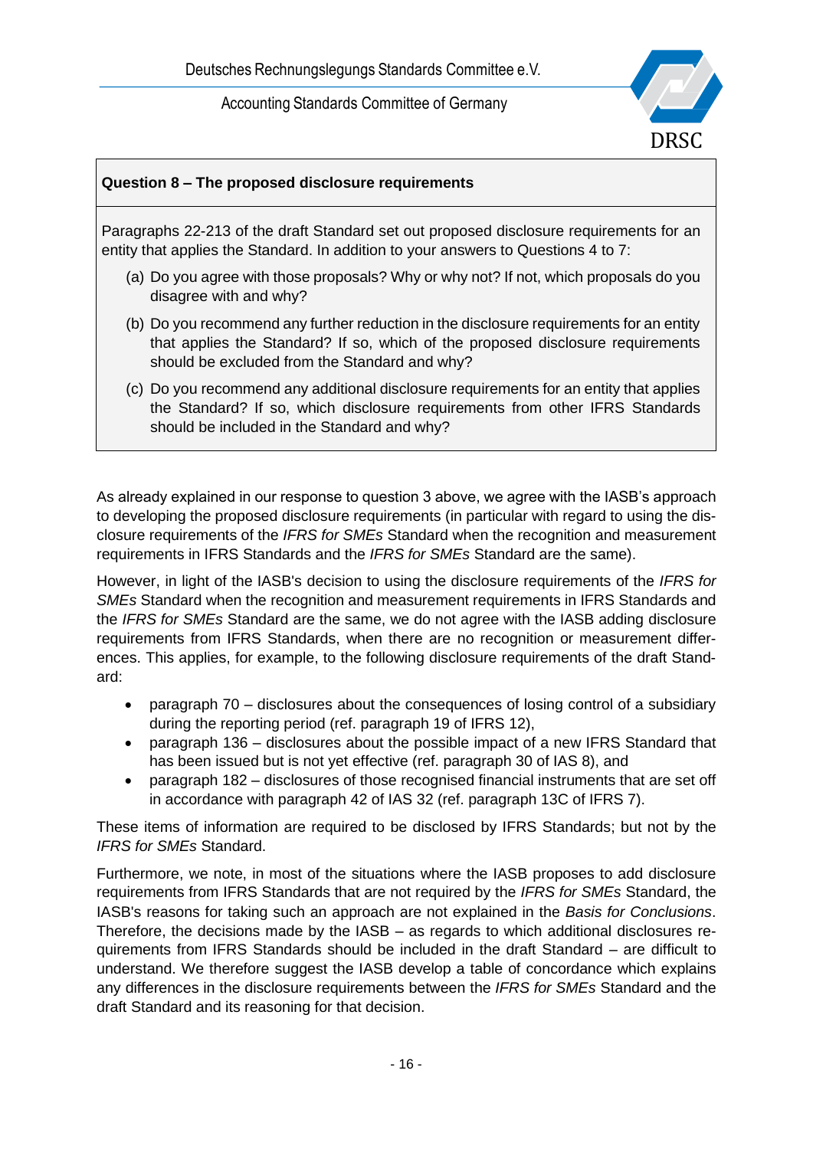

### **Question 8 – The proposed disclosure requirements**

Paragraphs 22-213 of the draft Standard set out proposed disclosure requirements for an entity that applies the Standard. In addition to your answers to Questions 4 to 7:

- (a) Do you agree with those proposals? Why or why not? If not, which proposals do you disagree with and why?
- (b) Do you recommend any further reduction in the disclosure requirements for an entity that applies the Standard? If so, which of the proposed disclosure requirements should be excluded from the Standard and why?
- (c) Do you recommend any additional disclosure requirements for an entity that applies the Standard? If so, which disclosure requirements from other IFRS Standards should be included in the Standard and why?

As already explained in our response to question 3 above, we agree with the IASB's approach to developing the proposed disclosure requirements (in particular with regard to using the disclosure requirements of the *IFRS for SMEs* Standard when the recognition and measurement requirements in IFRS Standards and the *IFRS for SMEs* Standard are the same).

However, in light of the IASB's decision to using the disclosure requirements of the *IFRS for SMEs* Standard when the recognition and measurement requirements in IFRS Standards and the *IFRS for SMEs* Standard are the same, we do not agree with the IASB adding disclosure requirements from IFRS Standards, when there are no recognition or measurement differences. This applies, for example, to the following disclosure requirements of the draft Standard:

- paragraph 70 disclosures about the consequences of losing control of a subsidiary during the reporting period (ref. paragraph 19 of IFRS 12),
- paragraph 136 disclosures about the possible impact of a new IFRS Standard that has been issued but is not yet effective (ref. paragraph 30 of IAS 8), and
- paragraph 182 disclosures of those recognised financial instruments that are set off in accordance with paragraph 42 of IAS 32 (ref. paragraph 13C of IFRS 7).

These items of information are required to be disclosed by IFRS Standards; but not by the *IFRS for SMEs* Standard.

Furthermore, we note, in most of the situations where the IASB proposes to add disclosure requirements from IFRS Standards that are not required by the *IFRS for SMEs* Standard, the IASB's reasons for taking such an approach are not explained in the *Basis for Conclusions*. Therefore, the decisions made by the IASB – as regards to which additional disclosures requirements from IFRS Standards should be included in the draft Standard – are difficult to understand. We therefore suggest the IASB develop a table of concordance which explains any differences in the disclosure requirements between the *IFRS for SMEs* Standard and the draft Standard and its reasoning for that decision.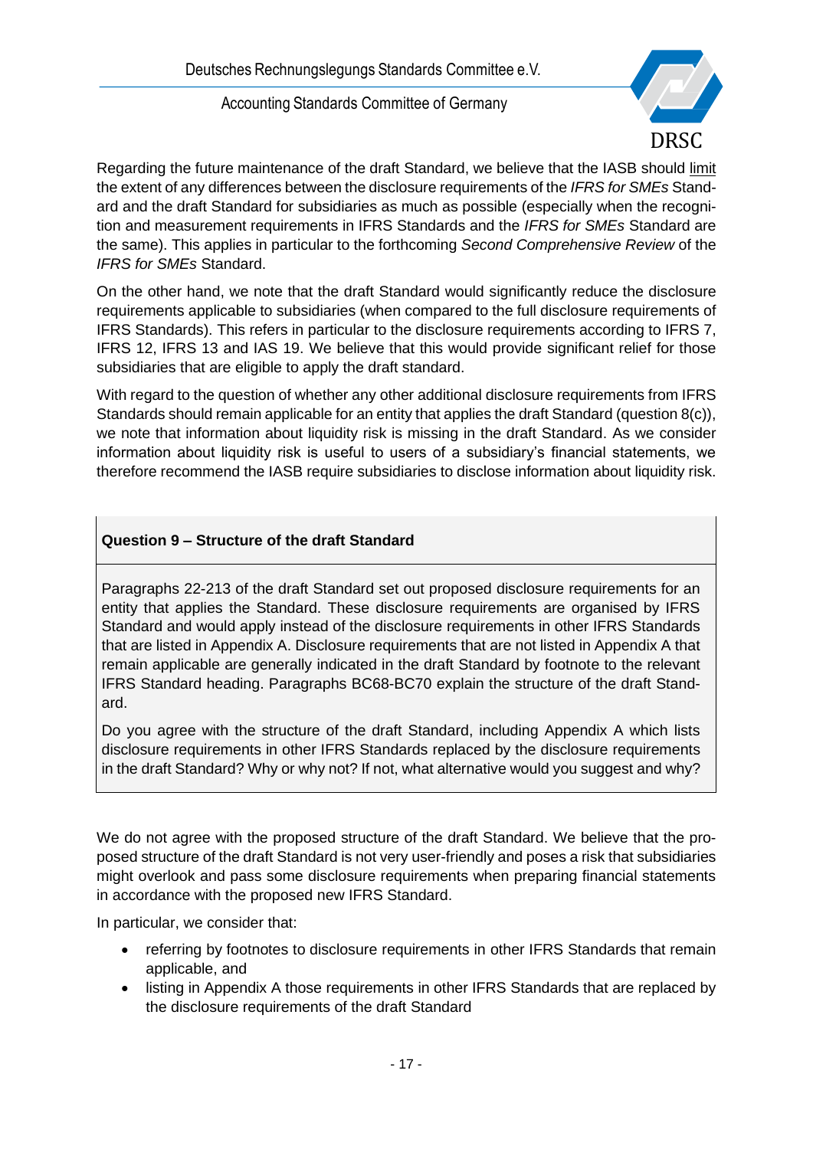

Regarding the future maintenance of the draft Standard, we believe that the IASB should limit the extent of any differences between the disclosure requirements of the *IFRS for SMEs* Standard and the draft Standard for subsidiaries as much as possible (especially when the recognition and measurement requirements in IFRS Standards and the *IFRS for SMEs* Standard are the same). This applies in particular to the forthcoming *Second Comprehensive Review* of the *IFRS for SMEs* Standard.

On the other hand, we note that the draft Standard would significantly reduce the disclosure requirements applicable to subsidiaries (when compared to the full disclosure requirements of IFRS Standards). This refers in particular to the disclosure requirements according to IFRS 7, IFRS 12, IFRS 13 and IAS 19. We believe that this would provide significant relief for those subsidiaries that are eligible to apply the draft standard.

With regard to the question of whether any other additional disclosure requirements from IFRS Standards should remain applicable for an entity that applies the draft Standard (question 8(c)), we note that information about liquidity risk is missing in the draft Standard. As we consider information about liquidity risk is useful to users of a subsidiary's financial statements, we therefore recommend the IASB require subsidiaries to disclose information about liquidity risk.

### **Question 9 – Structure of the draft Standard**

Paragraphs 22-213 of the draft Standard set out proposed disclosure requirements for an entity that applies the Standard. These disclosure requirements are organised by IFRS Standard and would apply instead of the disclosure requirements in other IFRS Standards that are listed in Appendix A. Disclosure requirements that are not listed in Appendix A that remain applicable are generally indicated in the draft Standard by footnote to the relevant IFRS Standard heading. Paragraphs BC68-BC70 explain the structure of the draft Standard.

Do you agree with the structure of the draft Standard, including Appendix A which lists disclosure requirements in other IFRS Standards replaced by the disclosure requirements in the draft Standard? Why or why not? If not, what alternative would you suggest and why?

We do not agree with the proposed structure of the draft Standard. We believe that the proposed structure of the draft Standard is not very user-friendly and poses a risk that subsidiaries might overlook and pass some disclosure requirements when preparing financial statements in accordance with the proposed new IFRS Standard.

In particular, we consider that:

- referring by footnotes to disclosure requirements in other IFRS Standards that remain applicable, and
- listing in Appendix A those requirements in other IFRS Standards that are replaced by the disclosure requirements of the draft Standard